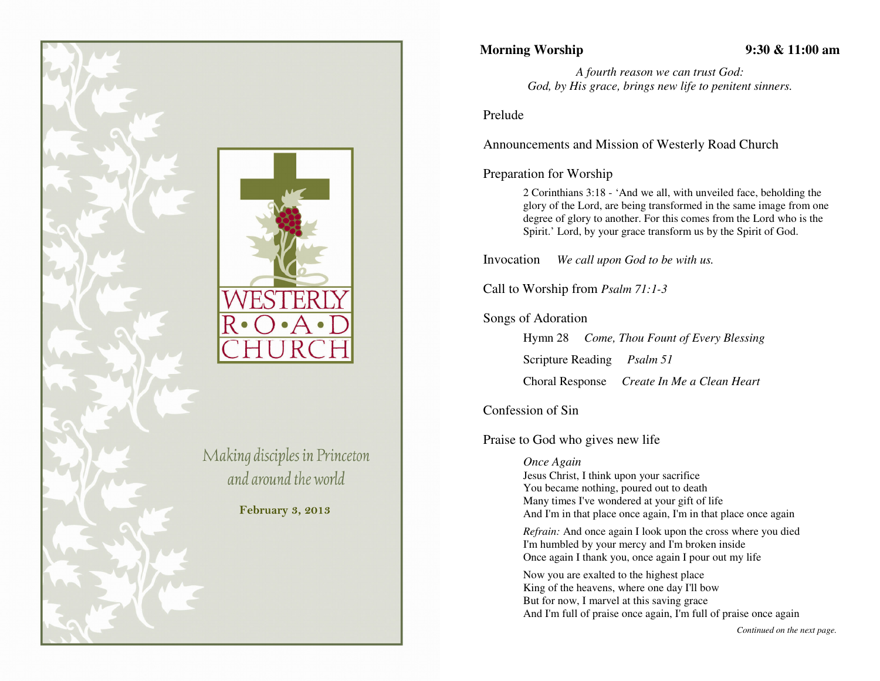

## **Morning Worship 9:30 & 11:00 am**

*A fourth reason we can trust God: God, by His grace, brings new life to penitent sinners.* 

Prelude

Announcements and Mission of Westerly Road Church

## Preparation for Worship

2 Corinthians 3:18 - 'And we all, with unveiled face, beholding the glory of the Lord, are being transformed in the same image from one degree of glory to another. For this comes from the Lord who is the Spirit.' Lord, by your grace transform us by the Spirit of God.

Invocation *We call upon God to be with us.* 

Call to Worship from *Psalm 71:1-3*

Songs of Adoration

Hymn 28 *Come, Thou Fount of Every Blessing*

Scripture Reading *Psalm 51* 

Choral Response *Create In Me a Clean Heart*

Confession of Sin

Praise to God who gives new life

*Once Again* 

 Jesus Christ, I think upon your sacrifice You became nothing, poured out to death Many times I've wondered at your gift of life And I'm in that place once again, I'm in that place once again

*Refrain:* And once again I look upon the cross where you diedI'm humbled by your mercy and I'm broken inside Once again I thank you, once again I pour out my life

Now you are exalted to the highest place King of the heavens, where one day I'll bow But for now, I marvel at this saving grace And I'm full of praise once again, I'm full of praise once again

*Continued on the next page.*